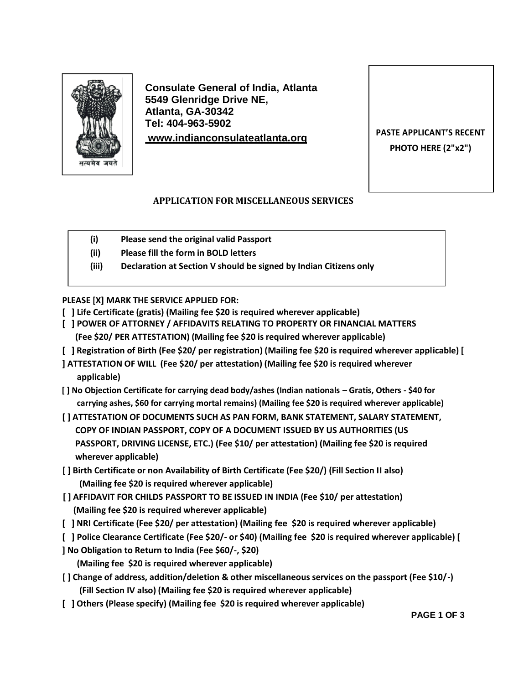

**Consulate General of India, Atlanta 5549 Glenridge Drive NE, Atlanta, GA-30342 Tel: 404-963-5902 PASTE APPLICANT'S RECENT [www.indianconsulateatlanta.o](http://www.indianconsulate.com/)rg**

**PHOTO HERE (2"x2")**

## **APPLICATION FOR MISCELLANEOUS SERVICES**

- **(i) Please send the original valid Passport**
- **(ii) Please fill the form in BOLD letters**
- **(iii) Declaration at Section V should be signed by Indian Citizens only**

**PLEASE [X] MARK THE SERVICE APPLIED FOR:**

- **[ ] Life Certificate (gratis) (Mailing fee \$20 is required wherever applicable)**
- **[ ] POWER OF ATTORNEY / AFFIDAVITS RELATING TO PROPERTY OR FINANCIAL MATTERS (Fee \$20/ PER ATTESTATION) (Mailing fee \$20 is required wherever applicable)**
- **[ ] Registration of Birth (Fee \$20/ per registration) (Mailing fee \$20 is required wherever applicable) [**
- **] ATTESTATION OF WILL (Fee \$20/ per attestation) (Mailing fee \$20 is required wherever applicable)**
- **[ ] No Objection Certificate for carrying dead body/ashes (Indian nationals – Gratis, Others ‐ \$40 for carrying ashes, \$60 for carrying mortal remains) (Mailing fee \$20 is required wherever applicable)**
- **[ ] ATTESTATION OF DOCUMENTS SUCH AS PAN FORM, BANK STATEMENT, SALARY STATEMENT, COPY OF INDIAN PASSPORT, COPY OF A DOCUMENT ISSUED BY US AUTHORITIES (US PASSPORT, DRIVING LICENSE, ETC.) (Fee \$10/ per attestation) (Mailing fee \$20 is required wherever applicable)**
- **[ ] Birth Certificate or non Availability of Birth Certificate (Fee \$20/) (Fill Section II also) (Mailing fee \$20 is required wherever applicable)**
- **[ ] AFFIDAVIT FOR CHILDS PASSPORT TO BE ISSUED IN INDIA (Fee \$10/ per attestation) (Mailing fee \$20 is required wherever applicable)**
- **[ ] NRI Certificate (Fee \$20/ per attestation) (Mailing fee \$20 is required wherever applicable)**
- **[ ] Police Clearance Certificate (Fee \$20/‐ or \$40) (Mailing fee \$20 is required wherever applicable) [ ] No Obligation to Return to India (Fee \$60/‐, \$20)**

**(Mailing fee \$20 is required wherever applicable)**

- **[ ] Change of address, addition/deletion & other miscellaneous services on the passport (Fee \$10/‐) (Fill Section IV also) (Mailing fee \$20 is required wherever applicable)**
- **[ ] Others (Please specify) (Mailing fee \$20 is required wherever applicable)**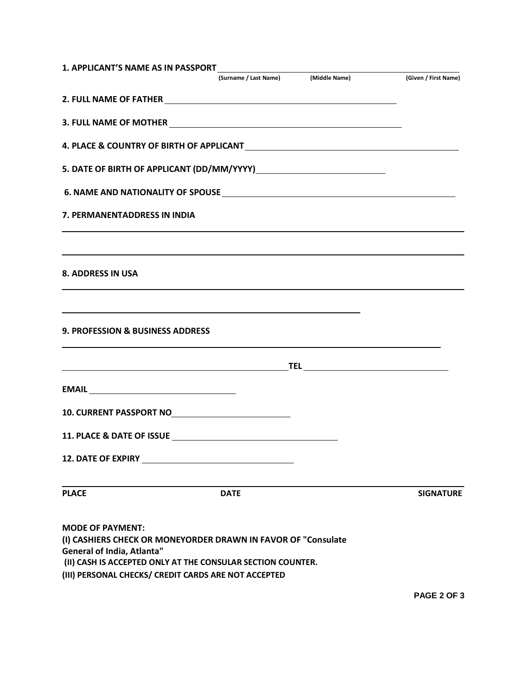| <b>1. APPLICANT'S NAME AS IN PASSPORT</b>                    | (Surname / Last Name) (Middle Name)                                                                                                                                                                                                  | (Given / First Name) |
|--------------------------------------------------------------|--------------------------------------------------------------------------------------------------------------------------------------------------------------------------------------------------------------------------------------|----------------------|
|                                                              |                                                                                                                                                                                                                                      |                      |
|                                                              | 2. FULL NAME OF FATHER <b>And Account of the Contract of Account Contract Contract of Account Contract Contract Contract Of Account Contract Contract Of Account Contract Contract Of Account Contract Contract Of Account Contr</b> |                      |
|                                                              |                                                                                                                                                                                                                                      |                      |
|                                                              |                                                                                                                                                                                                                                      |                      |
|                                                              |                                                                                                                                                                                                                                      |                      |
|                                                              |                                                                                                                                                                                                                                      |                      |
| 7. PERMANENTADDRESS IN INDIA                                 |                                                                                                                                                                                                                                      |                      |
|                                                              |                                                                                                                                                                                                                                      |                      |
| <b>8. ADDRESS IN USA</b>                                     |                                                                                                                                                                                                                                      |                      |
|                                                              |                                                                                                                                                                                                                                      |                      |
| <b>9. PROFESSION &amp; BUSINESS ADDRESS</b>                  |                                                                                                                                                                                                                                      |                      |
|                                                              |                                                                                                                                                                                                                                      |                      |
|                                                              |                                                                                                                                                                                                                                      |                      |
|                                                              |                                                                                                                                                                                                                                      |                      |
|                                                              |                                                                                                                                                                                                                                      |                      |
| <b>12. DATE OF EXPIRY</b>                                    |                                                                                                                                                                                                                                      |                      |
| <b>PLACE</b>                                                 | <b>DATE</b>                                                                                                                                                                                                                          | <b>SIGNATURE</b>     |
| <b>MODE OF PAYMENT:</b><br><b>General of India, Atlanta"</b> | (I) CASHIERS CHECK OR MONEYORDER DRAWN IN FAVOR OF "Consulate<br>(II) CASH IS ACCEPTED ONLY AT THE CONSULAR SECTION COUNTER.<br>(III) PERSONAL CHECKS/ CREDIT CARDS ARE NOT ACCEPTED                                                 |                      |

**PAGE 2 OF 3**